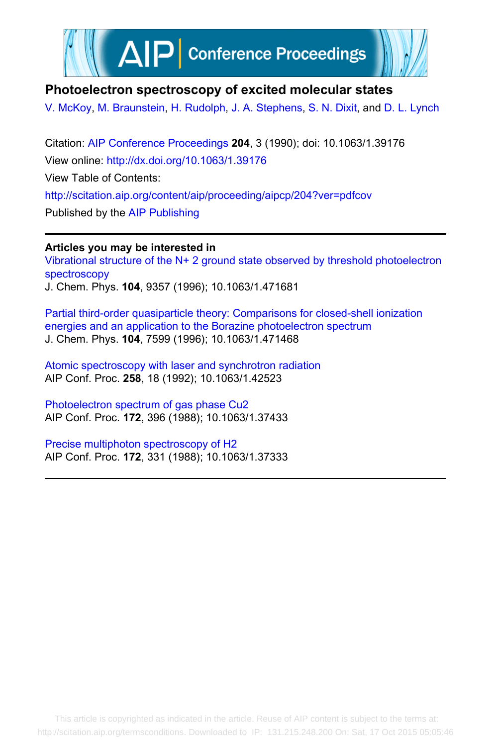

# **Photoelectron spectroscopy of excited molecular states**

[V. McKoy,](http://scitation.aip.org/search?value1=V.+McKoy&option1=author) [M. Braunstein](http://scitation.aip.org/search?value1=M.+Braunstein&option1=author), [H. Rudolph,](http://scitation.aip.org/search?value1=H.+Rudolph&option1=author) [J. A. Stephens](http://scitation.aip.org/search?value1=J.+A.+Stephens&option1=author), [S. N. Dixit](http://scitation.aip.org/search?value1=S.+N.+Dixit&option1=author), and [D. L. Lynch](http://scitation.aip.org/search?value1=D.+L.+Lynch&option1=author)

Citation: [AIP Conference Proceedings](http://scitation.aip.org/content/aip/proceeding/aipcp?ver=pdfcov) **204**, 3 (1990); doi: 10.1063/1.39176 View online: <http://dx.doi.org/10.1063/1.39176> View Table of Contents: <http://scitation.aip.org/content/aip/proceeding/aipcp/204?ver=pdfcov> Published by the [AIP Publishing](http://scitation.aip.org/content/aip?ver=pdfcov)

**Articles you may be interested in** [Vibrational structure of the N+ 2 ground state observed by threshold photoelectron](http://scitation.aip.org/content/aip/journal/jcp/104/23/10.1063/1.471681?ver=pdfcov) [spectroscopy](http://scitation.aip.org/content/aip/journal/jcp/104/23/10.1063/1.471681?ver=pdfcov) J. Chem. Phys. **104**, 9357 (1996); 10.1063/1.471681

[Partial third‐order quasiparticle theory: Comparisons for closed‐shell ionization](http://scitation.aip.org/content/aip/journal/jcp/104/19/10.1063/1.471468?ver=pdfcov) [energies and an application to the Borazine photoelectron spectrum](http://scitation.aip.org/content/aip/journal/jcp/104/19/10.1063/1.471468?ver=pdfcov) J. Chem. Phys. **104**, 7599 (1996); 10.1063/1.471468

[Atomic spectroscopy with laser and synchrotron radiation](http://scitation.aip.org/content/aip/proceeding/aipcp/10.1063/1.42523?ver=pdfcov) AIP Conf. Proc. **258**, 18 (1992); 10.1063/1.42523

[Photoelectron spectrum of gas phase Cu2](http://scitation.aip.org/content/aip/proceeding/aipcp/10.1063/1.37433?ver=pdfcov) AIP Conf. Proc. **172**, 396 (1988); 10.1063/1.37433

[Precise multiphoton spectroscopy of H2](http://scitation.aip.org/content/aip/proceeding/aipcp/10.1063/1.37333?ver=pdfcov) AIP Conf. Proc. **172**, 331 (1988); 10.1063/1.37333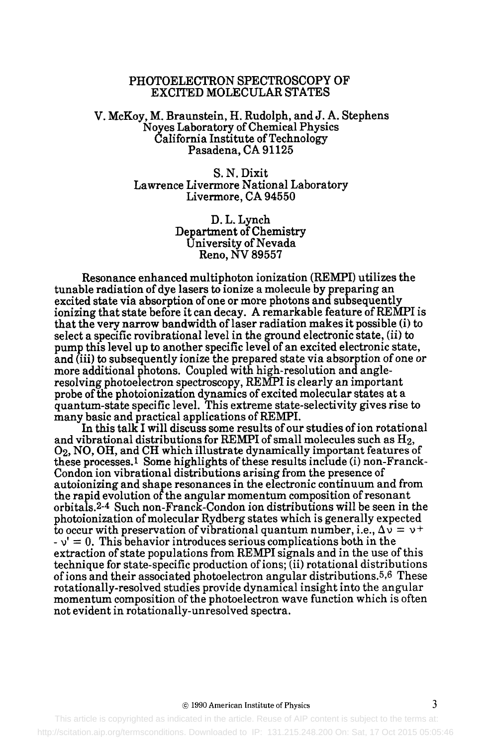## PHOTOELECTRON SPECTROSCOPY OF EXCITED MOLECULAR STATES

### V. McKoy, M. Braunstein, H. Rudolph, and J. A. Stephens Noyes Laboratory of Chemical Physics California Institute of Technology Pasadena, CA 91125

S. N. Dixit Lawrence Livermore National Laboratory Livermore, CA 94550

> D. L. Lynch Department of Chemistry University of Nevada **Reno, NV 89557**

Resonance enhanced multiphoton ionization (REMPI) utilizes the tunable radiation of dye lasers to ionize a molecule by preparing an excited state via absorption of one or more photons and subsequently ionizing that state before it can decay. A remarkable feature of REMPI is that the very narrow bandwidth of laser radiation makes it possible (i) to select a specific rovibrational level in the ground electronic state, (ii) to pump this level up to another specific level of an excited electronic state, and (iii) to subsequently ionize the prepared state via absorption of one or more additional photons. Coupled with high-resolution and angleresolving photoelectron spectroscopy, REMPI is clearly an important probe of the photoionization dynamics of excited molecular states at a quantum-state specific level. This extreme state-selectivity gives rise to many basic and practical applications of REMPI.

In this talk I will discuss some results of our studies of ion rotational and vibrational distributions for REMPI of small molecules such as  $H_2$ , 02, NO, OH, and CH which illustrate dynamically important features of these processes.1 Some highlights of these results include (i) non-Franck-Condon ion vibrational distributions arising from the presence of autoionizing and shape resonances in the electronic continuum and from the rapid evolution of the angular momentum composition of resonant orbitals.2-4 Such non-Franck-Condon ion distributions will be seen in the photoionization of molecular Rydberg states which is generally expected to occur with preservation of vibrational quantum number, i.e.,  $\Delta v = v^+$  $-v' = 0$ . This behavior introduces serious complications both in the extraction of state populations from REMPI signals and in the use of this technique for state-specific production of ions; (ii) rotational distributions of ions and their associated photoelectron angular distributions.5,6 These rotationally-resolved studies provide dynamical insight into the angular momentum composition of the photoelectron wave function which is often not evident in rotationally-unresolved spectra.

#### © 1990 American Institute of Physics 3

 This article is copyrighted as indicated in the article. Reuse of AIP content is subject to the terms at: http://scitation.aip.org/termsconditions. Downloaded to IP: 131.215.248.200 On: Sat, 17 Oct 2015 05:05:46